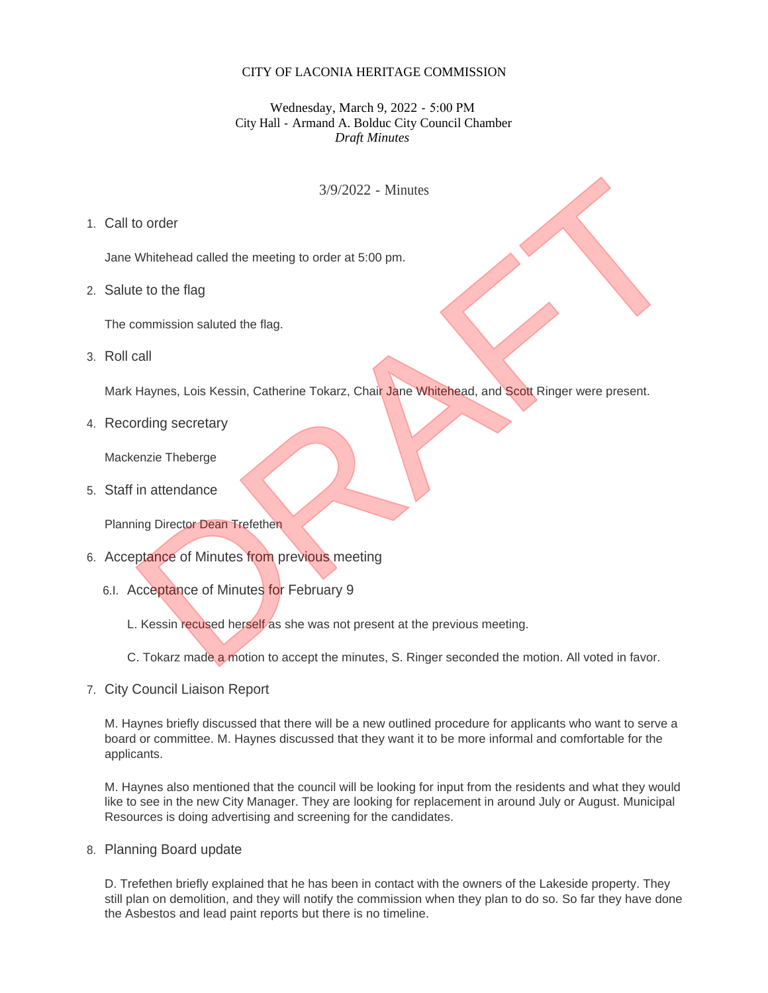## CITY OF LACONIA HERITAGE COMMISSION

## Wednesday, March 9, 2022 - 5:00 PM City Hall - Armand A. Bolduc City Council Chamber *Draft Minutes*

## 3/9/2022 - Minutes

## Call to order 1.

Jane Whitehead called the meeting to order at 5:00 pm.

2. Salute to the flag

The commission saluted the flag.

3. Roll call

Mark Haynes, Lois Kessin, Catherine Tokarz, Chair Jane Whitehead, and Scott Ringer were present.

4. Recording secretary

Mackenzie Theberge

Staff in attendance 5.

Planning Director Dean Trefethen

- 6. Acceptance of Minutes from previous meeting
	- 6.I. Acceptance of Minutes for February 9
		- L. Kessin recused herself as she was not present at the previous meeting.
- C. Tokarz made a motion to accept the minutes, S. Ringer seconded the motion. All voted in favor. 3/9/2022 - Minutes<br>
to order<br>
Whitehead called the meeting to order at 5:00 pm.<br>
te to the flag<br>
commission saluted the flag.<br>
Call<br>
Haynes, Lois Kessin, Catherine Tokarz, Chair Jane Whitehead, and Scott Ringer were presen
- 7. City Council Liaison Report

M. Haynes briefly discussed that there will be a new outlined procedure for applicants who want to serve a board or committee. M. Haynes discussed that they want it to be more informal and comfortable for the applicants.

M. Haynes also mentioned that the council will be looking for input from the residents and what they would like to see in the new City Manager. They are looking for replacement in around July or August. Municipal Resources is doing advertising and screening for the candidates.

Planning Board update 8.

D. Trefethen briefly explained that he has been in contact with the owners of the Lakeside property. They still plan on demolition, and they will notify the commission when they plan to do so. So far they have done the Asbestos and lead paint reports but there is no timeline.